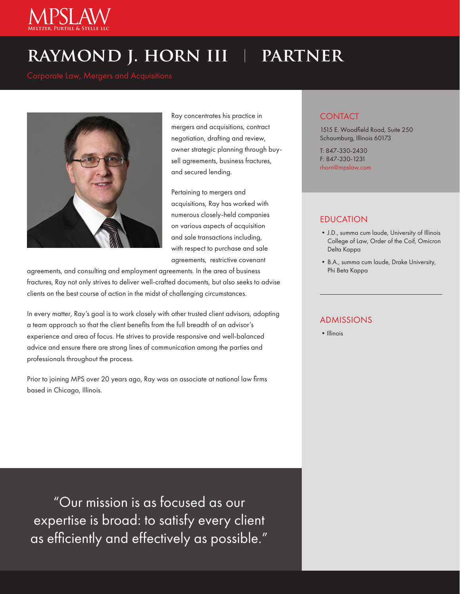

# **raymond j. horn iii partner**



Ray concentrates his practice in mergers and acquisitions, contract negotiation, drafting and review, owner strategic planning through buysell agreements, business fractures, and secured lending.

Pertaining to mergers and acquisitions, Ray has worked with numerous closely-held companies on various aspects of acquisition and sale transactions including, with respect to purchase and sale agreements, restrictive covenant

agreements, and consulting and employment agreements. In the area of business fractures, Ray not only strives to deliver well-crafted documents, but also seeks to advise clients on the best course of action in the midst of challenging circumstances.

In every matter, Ray's goal is to work closely with other trusted client advisors, adopting a team approach so that the client benefits from the full breadth of an advisor's experience and area of focus. He strives to provide responsive and well-balanced advice and ensure there are strong lines of communication among the parties and professionals throughout the process.

Prior to joining MPS over 20 years ago, Ray was an associate at national law firms based in Chicago, Illinois.

"Our mission is as focused as our expertise is broad: to satisfy every client as efficiently and effectively as possible."

# **CONTACT**

1515 E. Woodfield Road, Suite 250 Schaumburg, Illinois 60173

T: 847-330-2430 F: 847-330-1231 rhorn@mpslaw.com

### EDUCATION

- •J.D., summa cum laude, University of Illinois College of Law, Order of the Coif, Omicron Delta Kappa
- •B.A., summa cum laude, Drake University, Phi Beta Kappa

#### ADMISSIONS

• Illinois